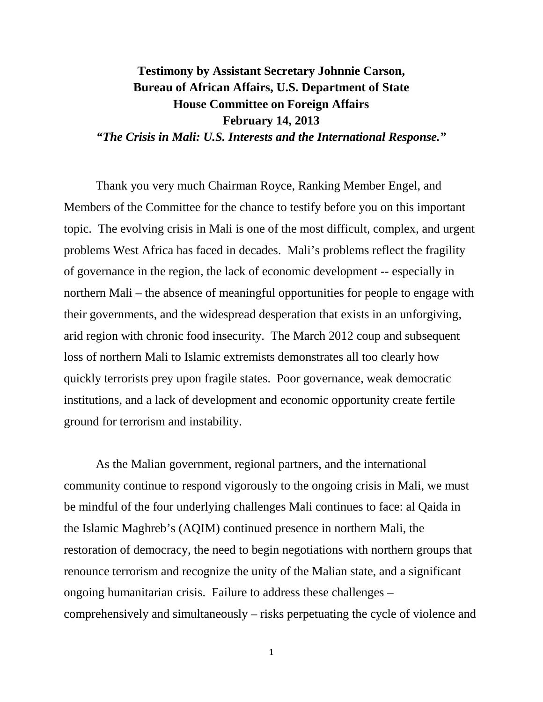# **Testimony by Assistant Secretary Johnnie Carson, Bureau of African Affairs, U.S. Department of State House Committee on Foreign Affairs February 14, 2013**

*"The Crisis in Mali: U.S. Interests and the International Response."* 

Thank you very much Chairman Royce, Ranking Member Engel, and Members of the Committee for the chance to testify before you on this important topic. The evolving crisis in Mali is one of the most difficult, complex, and urgent problems West Africa has faced in decades. Mali's problems reflect the fragility of governance in the region, the lack of economic development -- especially in northern Mali – the absence of meaningful opportunities for people to engage with their governments, and the widespread desperation that exists in an unforgiving, arid region with chronic food insecurity. The March 2012 coup and subsequent loss of northern Mali to Islamic extremists demonstrates all too clearly how quickly terrorists prey upon fragile states. Poor governance, weak democratic institutions, and a lack of development and economic opportunity create fertile ground for terrorism and instability.

As the Malian government, regional partners, and the international community continue to respond vigorously to the ongoing crisis in Mali, we must be mindful of the four underlying challenges Mali continues to face: al Qaida in the Islamic Maghreb's (AQIM) continued presence in northern Mali, the restoration of democracy, the need to begin negotiations with northern groups that renounce terrorism and recognize the unity of the Malian state, and a significant ongoing humanitarian crisis. Failure to address these challenges – comprehensively and simultaneously – risks perpetuating the cycle of violence and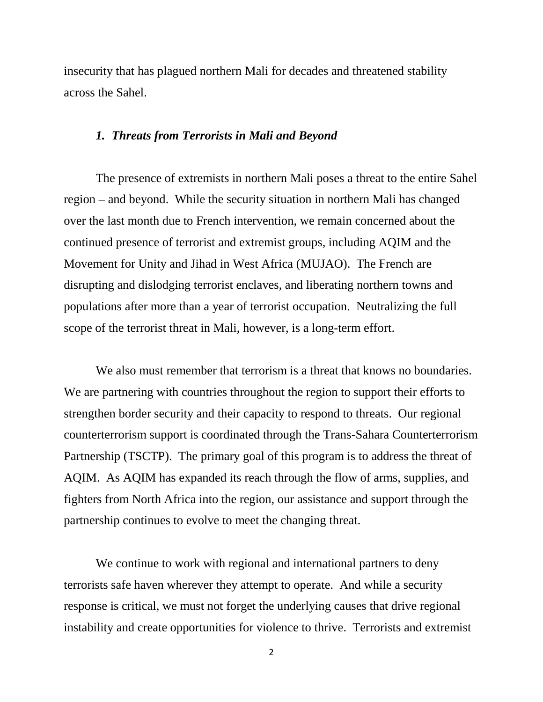insecurity that has plagued northern Mali for decades and threatened stability across the Sahel.

### *1. Threats from Terrorists in Mali and Beyond*

The presence of extremists in northern Mali poses a threat to the entire Sahel region – and beyond. While the security situation in northern Mali has changed over the last month due to French intervention, we remain concerned about the continued presence of terrorist and extremist groups, including AQIM and the Movement for Unity and Jihad in West Africa (MUJAO). The French are disrupting and dislodging terrorist enclaves, and liberating northern towns and populations after more than a year of terrorist occupation. Neutralizing the full scope of the terrorist threat in Mali, however, is a long-term effort.

We also must remember that terrorism is a threat that knows no boundaries. We are partnering with countries throughout the region to support their efforts to strengthen border security and their capacity to respond to threats. Our regional counterterrorism support is coordinated through the Trans-Sahara Counterterrorism Partnership (TSCTP). The primary goal of this program is to address the threat of AQIM. As AQIM has expanded its reach through the flow of arms, supplies, and fighters from North Africa into the region, our assistance and support through the partnership continues to evolve to meet the changing threat.

We continue to work with regional and international partners to deny terrorists safe haven wherever they attempt to operate. And while a security response is critical, we must not forget the underlying causes that drive regional instability and create opportunities for violence to thrive. Terrorists and extremist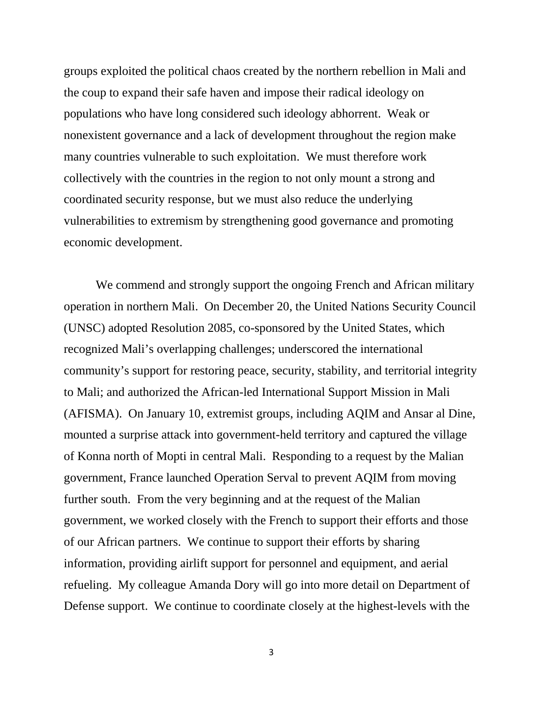groups exploited the political chaos created by the northern rebellion in Mali and the coup to expand their safe haven and impose their radical ideology on populations who have long considered such ideology abhorrent. Weak or nonexistent governance and a lack of development throughout the region make many countries vulnerable to such exploitation. We must therefore work collectively with the countries in the region to not only mount a strong and coordinated security response, but we must also reduce the underlying vulnerabilities to extremism by strengthening good governance and promoting economic development.

We commend and strongly support the ongoing French and African military operation in northern Mali. On December 20, the United Nations Security Council (UNSC) adopted Resolution 2085, co-sponsored by the United States, which recognized Mali's overlapping challenges; underscored the international community's support for restoring peace, security, stability, and territorial integrity to Mali; and authorized the African-led International Support Mission in Mali (AFISMA). On January 10, extremist groups, including AQIM and Ansar al Dine, mounted a surprise attack into government-held territory and captured the village of Konna north of Mopti in central Mali. Responding to a request by the Malian government, France launched Operation Serval to prevent AQIM from moving further south. From the very beginning and at the request of the Malian government, we worked closely with the French to support their efforts and those of our African partners. We continue to support their efforts by sharing information, providing airlift support for personnel and equipment, and aerial refueling. My colleague Amanda Dory will go into more detail on Department of Defense support. We continue to coordinate closely at the highest-levels with the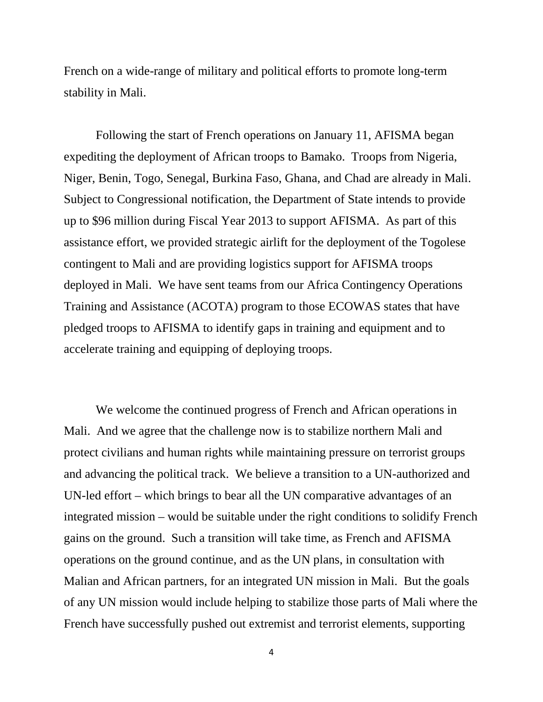French on a wide-range of military and political efforts to promote long-term stability in Mali.

Following the start of French operations on January 11, AFISMA began expediting the deployment of African troops to Bamako. Troops from Nigeria, Niger, Benin, Togo, Senegal, Burkina Faso, Ghana, and Chad are already in Mali. Subject to Congressional notification, the Department of State intends to provide up to \$96 million during Fiscal Year 2013 to support AFISMA. As part of this assistance effort, we provided strategic airlift for the deployment of the Togolese contingent to Mali and are providing logistics support for AFISMA troops deployed in Mali. We have sent teams from our Africa Contingency Operations Training and Assistance (ACOTA) program to those ECOWAS states that have pledged troops to AFISMA to identify gaps in training and equipment and to accelerate training and equipping of deploying troops.

We welcome the continued progress of French and African operations in Mali. And we agree that the challenge now is to stabilize northern Mali and protect civilians and human rights while maintaining pressure on terrorist groups and advancing the political track. We believe a transition to a UN-authorized and UN-led effort – which brings to bear all the UN comparative advantages of an integrated mission – would be suitable under the right conditions to solidify French gains on the ground. Such a transition will take time, as French and AFISMA operations on the ground continue, and as the UN plans, in consultation with Malian and African partners, for an integrated UN mission in Mali. But the goals of any UN mission would include helping to stabilize those parts of Mali where the French have successfully pushed out extremist and terrorist elements, supporting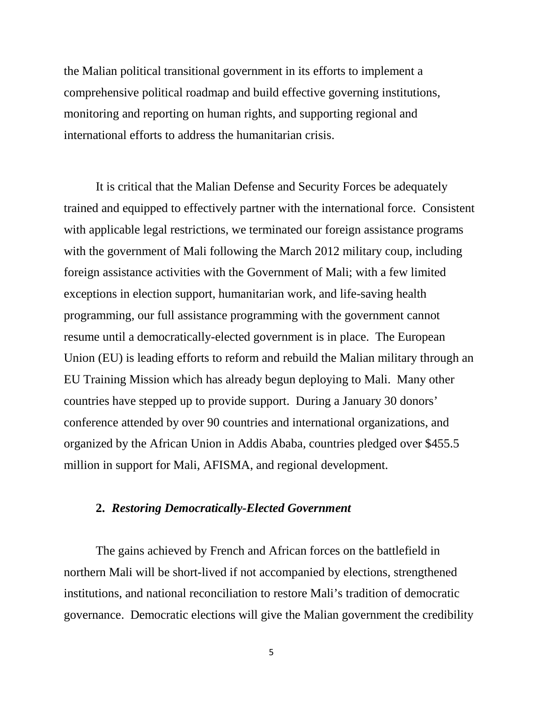the Malian political transitional government in its efforts to implement a comprehensive political roadmap and build effective governing institutions, monitoring and reporting on human rights, and supporting regional and international efforts to address the humanitarian crisis.

It is critical that the Malian Defense and Security Forces be adequately trained and equipped to effectively partner with the international force. Consistent with applicable legal restrictions, we terminated our foreign assistance programs with the government of Mali following the March 2012 military coup, including foreign assistance activities with the Government of Mali; with a few limited exceptions in election support, humanitarian work, and life-saving health programming, our full assistance programming with the government cannot resume until a democratically-elected government is in place. The European Union (EU) is leading efforts to reform and rebuild the Malian military through an EU Training Mission which has already begun deploying to Mali. Many other countries have stepped up to provide support. During a January 30 donors' conference attended by over 90 countries and international organizations, and organized by the African Union in Addis Ababa, countries pledged over \$455.5 million in support for Mali, AFISMA, and regional development.

## **2.** *Restoring Democratically-Elected Government*

The gains achieved by French and African forces on the battlefield in northern Mali will be short-lived if not accompanied by elections, strengthened institutions, and national reconciliation to restore Mali's tradition of democratic governance. Democratic elections will give the Malian government the credibility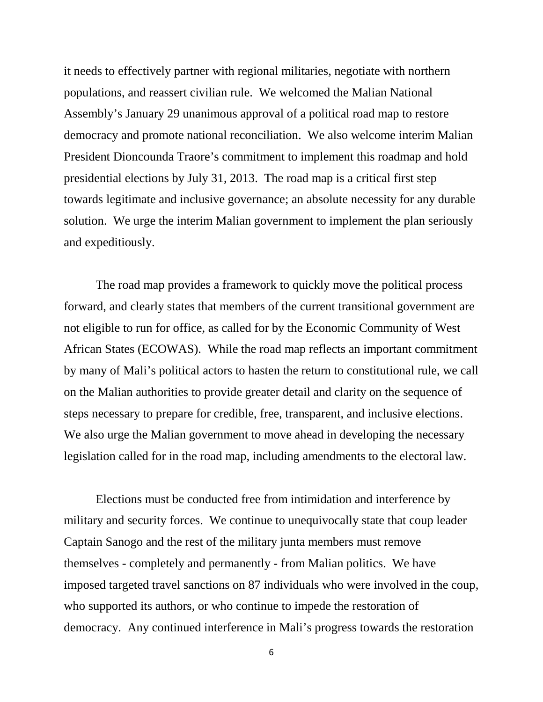it needs to effectively partner with regional militaries, negotiate with northern populations, and reassert civilian rule. We welcomed the Malian National Assembly's January 29 unanimous approval of a political road map to restore democracy and promote national reconciliation. We also welcome interim Malian President Dioncounda Traore's commitment to implement this roadmap and hold presidential elections by July 31, 2013. The road map is a critical first step towards legitimate and inclusive governance; an absolute necessity for any durable solution. We urge the interim Malian government to implement the plan seriously and expeditiously.

The road map provides a framework to quickly move the political process forward, and clearly states that members of the current transitional government are not eligible to run for office, as called for by the Economic Community of West African States (ECOWAS). While the road map reflects an important commitment by many of Mali's political actors to hasten the return to constitutional rule, we call on the Malian authorities to provide greater detail and clarity on the sequence of steps necessary to prepare for credible, free, transparent, and inclusive elections. We also urge the Malian government to move ahead in developing the necessary legislation called for in the road map, including amendments to the electoral law.

Elections must be conducted free from intimidation and interference by military and security forces. We continue to unequivocally state that coup leader Captain Sanogo and the rest of the military junta members must remove themselves - completely and permanently - from Malian politics. We have imposed targeted travel sanctions on 87 individuals who were involved in the coup, who supported its authors, or who continue to impede the restoration of democracy. Any continued interference in Mali's progress towards the restoration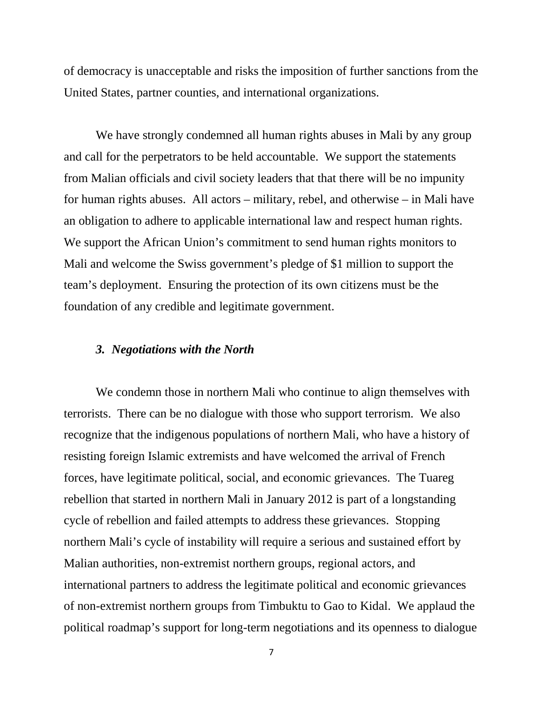of democracy is unacceptable and risks the imposition of further sanctions from the United States, partner counties, and international organizations.

We have strongly condemned all human rights abuses in Mali by any group and call for the perpetrators to be held accountable. We support the statements from Malian officials and civil society leaders that that there will be no impunity for human rights abuses. All actors – military, rebel, and otherwise – in Mali have an obligation to adhere to applicable international law and respect human rights. We support the African Union's commitment to send human rights monitors to Mali and welcome the Swiss government's pledge of \$1 million to support the team's deployment. Ensuring the protection of its own citizens must be the foundation of any credible and legitimate government.

#### *3. Negotiations with the North*

We condemn those in northern Mali who continue to align themselves with terrorists. There can be no dialogue with those who support terrorism. We also recognize that the indigenous populations of northern Mali, who have a history of resisting foreign Islamic extremists and have welcomed the arrival of French forces, have legitimate political, social, and economic grievances. The Tuareg rebellion that started in northern Mali in January 2012 is part of a longstanding cycle of rebellion and failed attempts to address these grievances. Stopping northern Mali's cycle of instability will require a serious and sustained effort by Malian authorities, non-extremist northern groups, regional actors, and international partners to address the legitimate political and economic grievances of non-extremist northern groups from Timbuktu to Gao to Kidal. We applaud the political roadmap's support for long-term negotiations and its openness to dialogue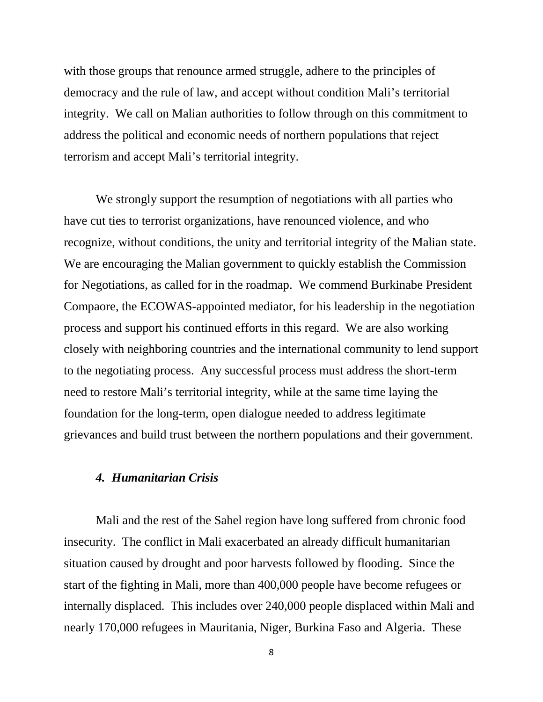with those groups that renounce armed struggle, adhere to the principles of democracy and the rule of law, and accept without condition Mali's territorial integrity. We call on Malian authorities to follow through on this commitment to address the political and economic needs of northern populations that reject terrorism and accept Mali's territorial integrity.

We strongly support the resumption of negotiations with all parties who have cut ties to terrorist organizations, have renounced violence, and who recognize, without conditions, the unity and territorial integrity of the Malian state. We are encouraging the Malian government to quickly establish the Commission for Negotiations, as called for in the roadmap. We commend Burkinabe President Compaore, the ECOWAS-appointed mediator, for his leadership in the negotiation process and support his continued efforts in this regard. We are also working closely with neighboring countries and the international community to lend support to the negotiating process. Any successful process must address the short-term need to restore Mali's territorial integrity, while at the same time laying the foundation for the long-term, open dialogue needed to address legitimate grievances and build trust between the northern populations and their government.

### *4. Humanitarian Crisis*

Mali and the rest of the Sahel region have long suffered from chronic food insecurity. The conflict in Mali exacerbated an already difficult humanitarian situation caused by drought and poor harvests followed by flooding. Since the start of the fighting in Mali, more than 400,000 people have become refugees or internally displaced. This includes over 240,000 people displaced within Mali and nearly 170,000 refugees in Mauritania, Niger, Burkina Faso and Algeria. These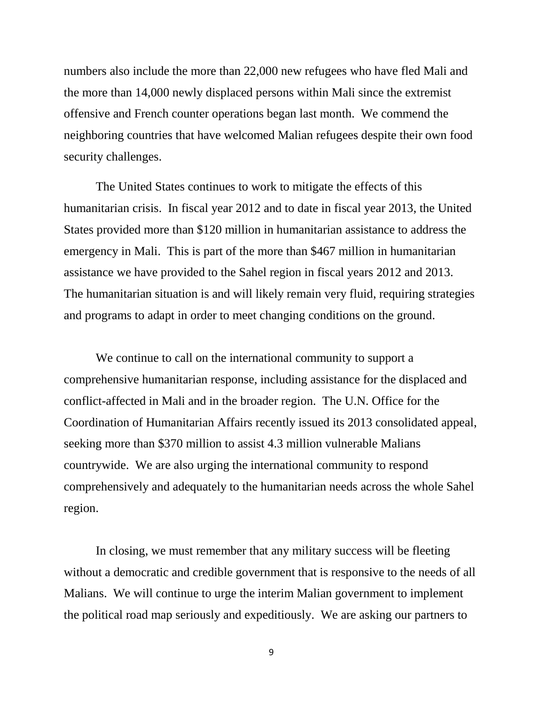numbers also include the more than 22,000 new refugees who have fled Mali and the more than 14,000 newly displaced persons within Mali since the extremist offensive and French counter operations began last month. We commend the neighboring countries that have welcomed Malian refugees despite their own food security challenges.

The United States continues to work to mitigate the effects of this humanitarian crisis. In fiscal year 2012 and to date in fiscal year 2013, the United States provided more than \$120 million in humanitarian assistance to address the emergency in Mali. This is part of the more than \$467 million in humanitarian assistance we have provided to the Sahel region in fiscal years 2012 and 2013. The humanitarian situation is and will likely remain very fluid, requiring strategies and programs to adapt in order to meet changing conditions on the ground.

We continue to call on the international community to support a comprehensive humanitarian response, including assistance for the displaced and conflict-affected in Mali and in the broader region. The U.N. Office for the Coordination of Humanitarian Affairs recently issued its 2013 consolidated appeal, seeking more than \$370 million to assist 4.3 million vulnerable Malians countrywide. We are also urging the international community to respond comprehensively and adequately to the humanitarian needs across the whole Sahel region.

In closing, we must remember that any military success will be fleeting without a democratic and credible government that is responsive to the needs of all Malians. We will continue to urge the interim Malian government to implement the political road map seriously and expeditiously. We are asking our partners to